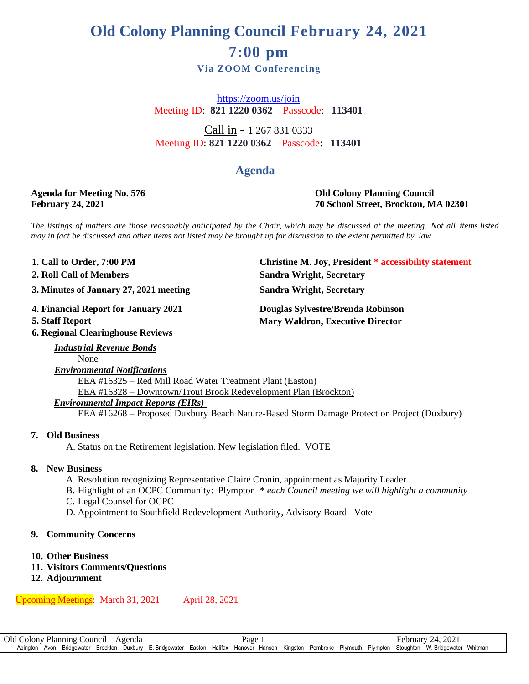# **Old Colony Planning Council February 24, 2021 7:00 pm**

**Via ZOOM Conferencing** 

<https://zoom.us/join> Meeting ID: **821 1220 0362** Passcode: **113401**

Call in - 1 267 831 0333 Meeting ID: **821 1220 0362** Passcode: **113401**

## **Agenda**

#### **Agenda for Meeting No. 576 Old Colony Planning Council February 24, 2021 70 School Street, Brockton, MA 02301**

The listings of matters are those reasonably anticipated by the Chair, which may be discussed at the meeting. Not all items listed may in fact be discussed and other items not listed may be brought up for discussion to the extent permitted by law.

1. Call to Order, 7:00 PM

**. 2**

**. 3 3. Minutes of January 27, 2021 meeting Sandra Wright, Secretary**

**.**

**6. Regional Clearinghouse Reviews**

**1. Christine M. Joy, President \* accessibility statement 2. Roll Call of Members Sandra Wright, Secretary**

**4 4. Financial Report for January 2021 Douglas Sylvestre/Brenda Robinson Mary Waldron, Executive Director** 

#### *Industrial Revenue Bonds* None *Environmental Notifications* EEA #16325 – Red Mill Road Water Treatment Plant (Easton) EEA #16328 – Downtown/Trout Brook Redevelopment Plan (Brockton) *Environmental Impact Reports (EIRs)* EEA #16268 – Proposed Duxbury Beach Nature-Based Storm Damage Protection Project (Duxbury)

#### **7. Old Business**

A. Status on the Retirement legislation. New legislation filed. VOTE

#### **8. New Business**

- A. Resolution recognizing Representative Claire Cronin, appointment as Majority Leader
- B. Highlight of an OCPC Community: Plympton \* *each Council meeting we will highlight a community*
- C. Legal Counsel for OCPC
- D. Appointment to Southfield Redevelopment Authority, Advisory Board Vote

#### **9. Community Concerns**

#### **10. Other Business**

- **11. Visitors Comments/Questions**
- **12. Adjournment**

Upcoming Meetings: March 31, 2021 April 28, 2021

Old Colony Planning Council – Agenda Page 1 Page 1 February 24, 2021 Abington – Avon – Bridgewater – Brockton – Duxbury – E. Bridgewater – Easton – Halifax – Hanover - Hanson – Kingston – Pembroke – Plymouth – Plympton – Stoughton – W. Bridgewater - Whitman